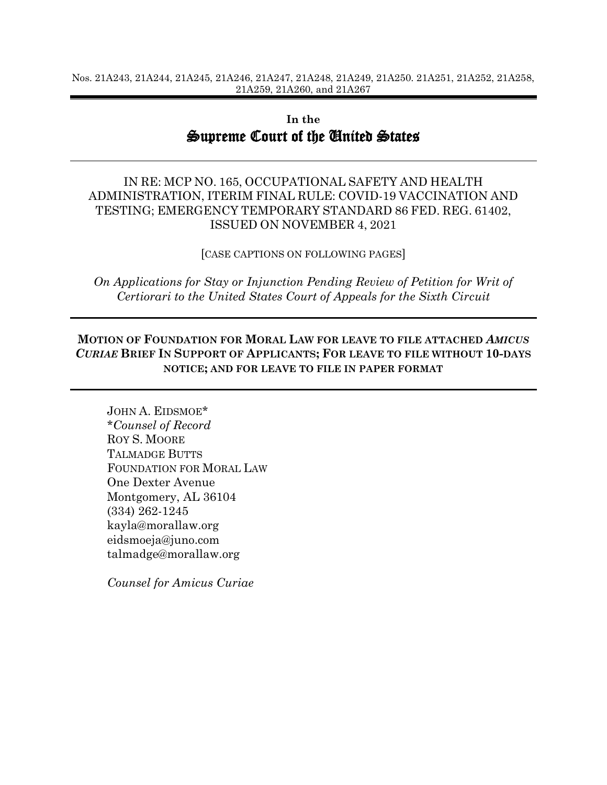#### Nos. 21A243, 21A244, 21A245, 21A246, 21A247, 21A248, 21A249, 21A250. 21A251, 21A252, 21A258, 21A259, 21A260, and 21A267

### **In the** Supreme Court of the United States

### IN RE: MCP NO. 165, OCCUPATIONAL SAFETY AND HEALTH ADMINISTRATION, ITERIM FINAL RULE: COVID-19 VACCINATION AND TESTING; EMERGENCY TEMPORARY STANDARD 86 FED. REG. 61402, ISSUED ON NOVEMBER 4, 2021

[CASE CAPTIONS ON FOLLOWING PAGES]

*On Applications for Stay or Injunction Pending Review of Petition for Writ of Certiorari to the United States Court of Appeals for the Sixth Circuit*

### **MOTION OF FOUNDATION FOR MORAL LAW FOR LEAVE TO FILE ATTACHED** *AMICUS CURIAE* **BRIEF IN SUPPORT OF APPLICANTS; FOR LEAVE TO FILE WITHOUT 10-DAYS NOTICE; AND FOR LEAVE TO FILE IN PAPER FORMAT**

JOHN A. EIDSMOE\* \**Counsel of Record* ROY S. MOORE TALMADGE BUTTS FOUNDATION FOR MORAL LAW One Dexter Avenue Montgomery, AL 36104 (334) 262-1245 kayla@morallaw.org eidsmoeja@juno.com talmadge@morallaw.org

*Counsel for Amicus Curiae*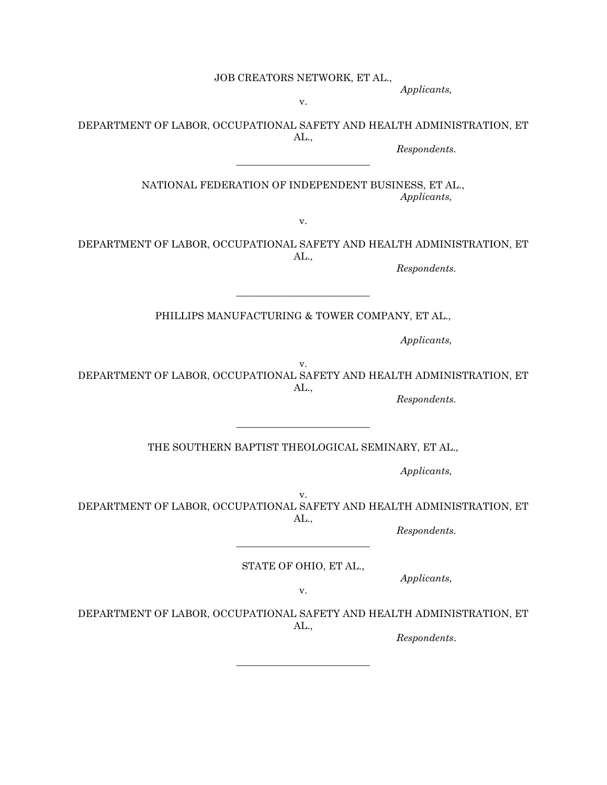*Applicants,* v. DEPARTMENT OF LABOR, OCCUPATIONAL SAFETY AND HEALTH ADMINISTRATION, ET AL., *Respondents.* \_\_\_\_\_\_\_\_\_\_\_\_\_\_\_\_\_\_\_\_\_\_\_\_\_\_\_ NATIONAL FEDERATION OF INDEPENDENT BUSINESS, ET AL., *Applicants,* v. DEPARTMENT OF LABOR, OCCUPATIONAL SAFETY AND HEALTH ADMINISTRATION, ET AL., *Respondents.* \_\_\_\_\_\_\_\_\_\_\_\_\_\_\_\_\_\_\_\_\_\_\_\_\_\_\_ PHILLIPS MANUFACTURING & TOWER COMPANY, ET AL., *Applicants,* v. DEPARTMENT OF LABOR, OCCUPATIONAL SAFETY AND HEALTH ADMINISTRATION, ET AL., *Respondents.* \_\_\_\_\_\_\_\_\_\_\_\_\_\_\_\_\_\_\_\_\_\_\_\_\_\_\_ THE SOUTHERN BAPTIST THEOLOGICAL SEMINARY, ET AL., *Applicants,* v. DEPARTMENT OF LABOR, OCCUPATIONAL SAFETY AND HEALTH ADMINISTRATION, ET AL., *Respondents.* \_\_\_\_\_\_\_\_\_\_\_\_\_\_\_\_\_\_\_\_\_\_\_\_\_\_\_ STATE OF OHIO, ET AL., *Applicants,* v. DEPARTMENT OF LABOR, OCCUPATIONAL SAFETY AND HEALTH ADMINISTRATION, ET AL., *Respondents*. \_\_\_\_\_\_\_\_\_\_\_\_\_\_\_\_\_\_\_\_\_\_\_\_\_\_\_

JOB CREATORS NETWORK, ET AL.,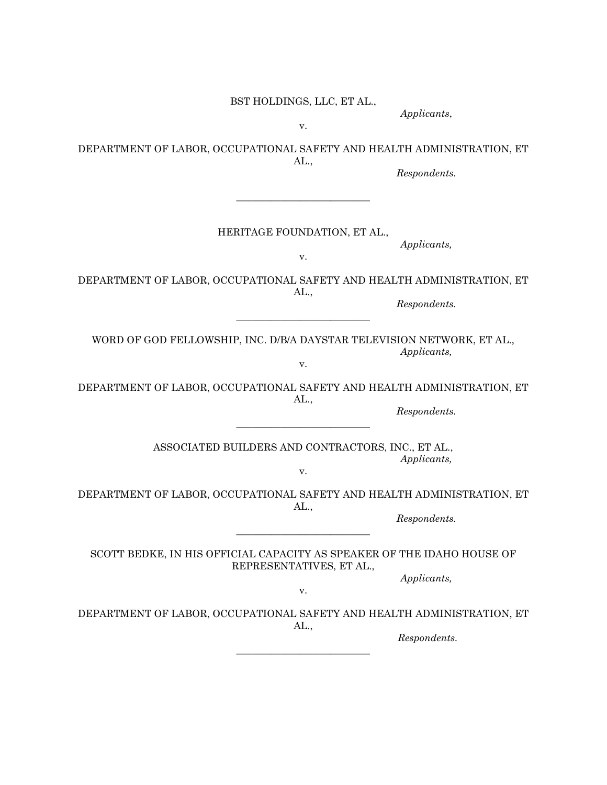BST HOLDINGS, LLC, ET AL.,

*Applicants*,

v.

DEPARTMENT OF LABOR, OCCUPATIONAL SAFETY AND HEALTH ADMINISTRATION, ET AL.,

*Respondents.*

HERITAGE FOUNDATION, ET AL.,

\_\_\_\_\_\_\_\_\_\_\_\_\_\_\_\_\_\_\_\_\_\_\_\_\_\_\_

*Applicants,*

v.

DEPARTMENT OF LABOR, OCCUPATIONAL SAFETY AND HEALTH ADMINISTRATION, ET AL.,

\_\_\_\_\_\_\_\_\_\_\_\_\_\_\_\_\_\_\_\_\_\_\_\_\_\_\_

*Respondents.*

WORD OF GOD FELLOWSHIP, INC. D/B/A DAYSTAR TELEVISION NETWORK, ET AL., *Applicants,*

v.

DEPARTMENT OF LABOR, OCCUPATIONAL SAFETY AND HEALTH ADMINISTRATION, ET AL.,

*Respondents.*

ASSOCIATED BUILDERS AND CONTRACTORS, INC., ET AL., *Applicants,*

\_\_\_\_\_\_\_\_\_\_\_\_\_\_\_\_\_\_\_\_\_\_\_\_\_\_\_

v.

DEPARTMENT OF LABOR, OCCUPATIONAL SAFETY AND HEALTH ADMINISTRATION, ET AL.,

\_\_\_\_\_\_\_\_\_\_\_\_\_\_\_\_\_\_\_\_\_\_\_\_\_\_\_

*Respondents.*

SCOTT BEDKE, IN HIS OFFICIAL CAPACITY AS SPEAKER OF THE IDAHO HOUSE OF REPRESENTATIVES, ET AL.,

*Applicants,*

v.

DEPARTMENT OF LABOR, OCCUPATIONAL SAFETY AND HEALTH ADMINISTRATION, ET AL.,

\_\_\_\_\_\_\_\_\_\_\_\_\_\_\_\_\_\_\_\_\_\_\_\_\_\_\_

*Respondents.*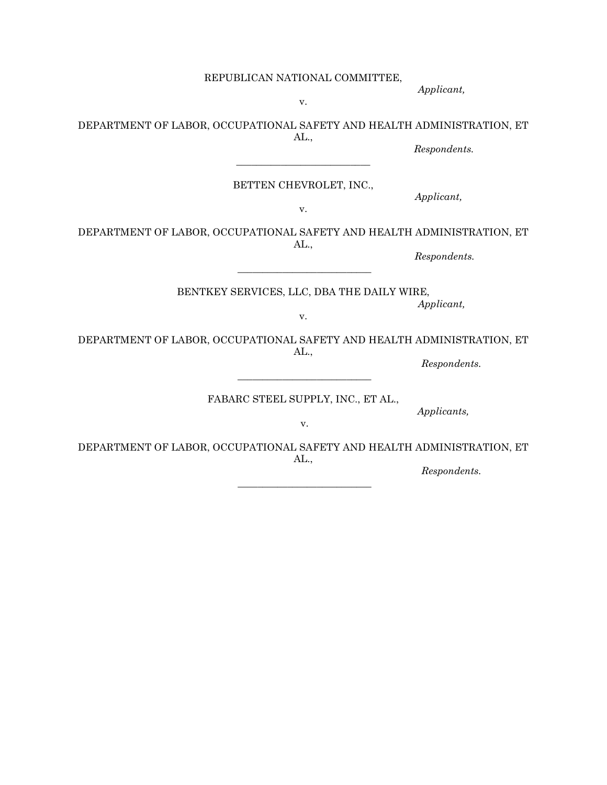| REPUBLICAN NATIONAL COMMITTEE,                                                 |              |
|--------------------------------------------------------------------------------|--------------|
| V.                                                                             | Applicant,   |
| DEPARTMENT OF LABOR, OCCUPATIONAL SAFETY AND HEALTH ADMINISTRATION, ET<br>AL., |              |
|                                                                                | Respondents. |
| BETTEN CHEVROLET, INC.,                                                        |              |
| V.                                                                             | Applicant,   |
| DEPARTMENT OF LABOR, OCCUPATIONAL SAFETY AND HEALTH ADMINISTRATION, ET<br>AL., |              |
|                                                                                | Respondents. |
| BENTKEY SERVICES, LLC, DBA THE DAILY WIRE,                                     |              |
| v.                                                                             | Applicant,   |
| DEPARTMENT OF LABOR, OCCUPATIONAL SAFETY AND HEALTH ADMINISTRATION, ET<br>AL., |              |
|                                                                                | Respondents. |
| FABARC STEEL SUPPLY, INC., ET AL.,                                             |              |
| V.                                                                             | Applicants,  |
| DEPARTMENT OF LABOR, OCCUPATIONAL SAFETY AND HEALTH ADMINISTRATION, ET         |              |

AL.,

 $\mathcal{L}=\mathcal{L}$ 

 *Respondents.*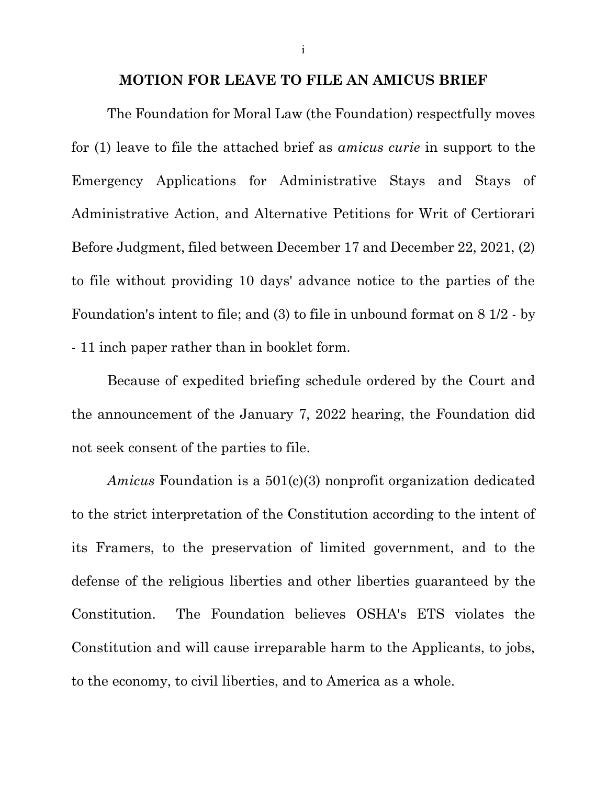i

### **MOTION FOR LEAVE TO FILE AN AMICUS BRIEF**

The Foundation for Moral Law (the Foundation) respectfully moves for (1) leave to file the attached brief as *amicus curie* in support to the Emergency Applications for Administrative Stays and Stays of Administrative Action, and Alternative Petitions for Writ of Certiorari Before Judgment, filed between December 17 and December 22, 2021, (2) to file without providing 10 days' advance notice to the parties of the Foundation's intent to file; and (3) to file in unbound format on 8 1/2 - by - 11 inch paper rather than in booklet form.

Because of expedited briefing schedule ordered by the Court and the announcement of the January 7, 2022 hearing, the Foundation did not seek consent of the parties to file.

*Amicus* Foundation is a 501(c)(3) nonprofit organization dedicated to the strict interpretation of the Constitution according to the intent of its Framers, to the preservation of limited government, and to the defense of the religious liberties and other liberties guaranteed by the Constitution. The Foundation believes OSHA's ETS violates the Constitution and will cause irreparable harm to the Applicants, to jobs, to the economy, to civil liberties, and to America as a whole.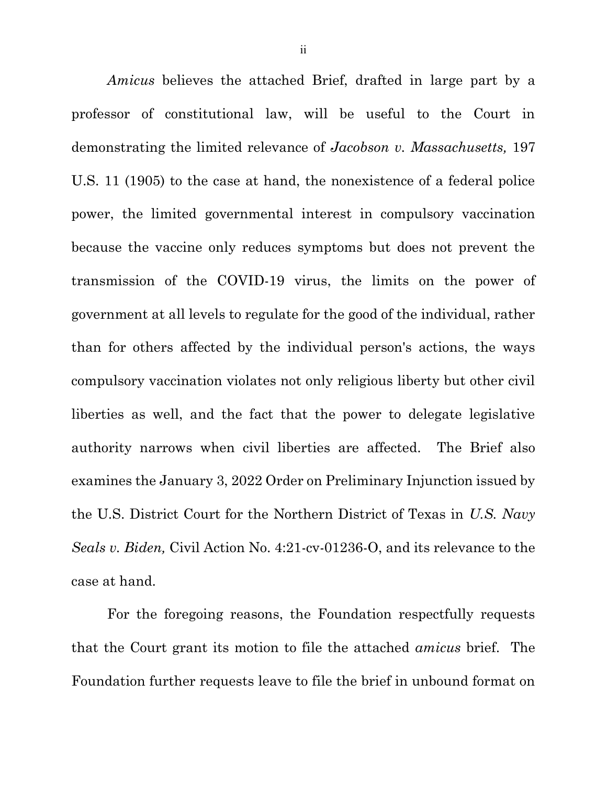*Amicus* believes the attached Brief, drafted in large part by a professor of constitutional law, will be useful to the Court in demonstrating the limited relevance of *Jacobson v. Massachusetts,* 197 U.S. 11 (1905) to the case at hand, the nonexistence of a federal police power, the limited governmental interest in compulsory vaccination because the vaccine only reduces symptoms but does not prevent the transmission of the COVID-19 virus, the limits on the power of government at all levels to regulate for the good of the individual, rather than for others affected by the individual person's actions, the ways compulsory vaccination violates not only religious liberty but other civil liberties as well, and the fact that the power to delegate legislative authority narrows when civil liberties are affected. The Brief also examines the January 3, 2022 Order on Preliminary Injunction issued by the U.S. District Court for the Northern District of Texas in *U.S. Navy Seals v. Biden,* Civil Action No. 4:21-cv-01236-O, and its relevance to the case at hand.

For the foregoing reasons, the Foundation respectfully requests that the Court grant its motion to file the attached *amicus* brief. The Foundation further requests leave to file the brief in unbound format on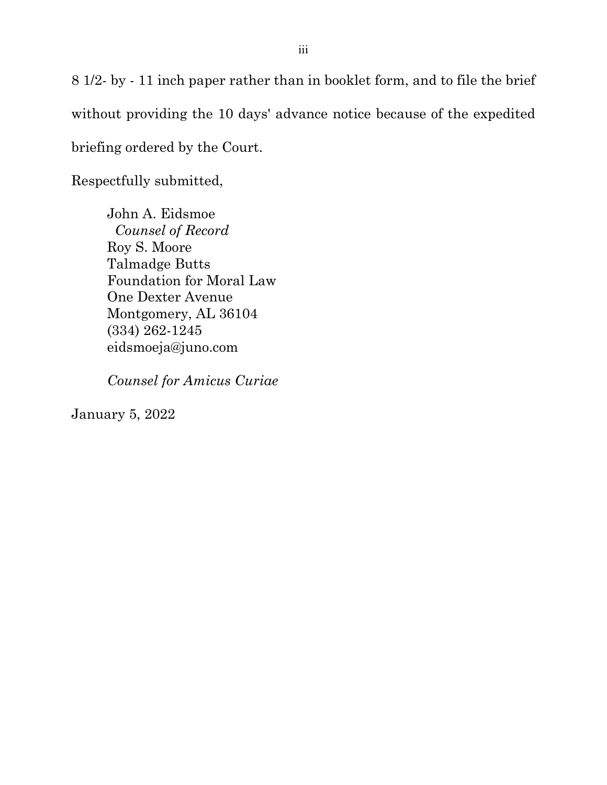8 1/2- by - 11 inch paper rather than in booklet form, and to file the brief without providing the 10 days' advance notice because of the expedited briefing ordered by the Court.

Respectfully submitted,

John A. Eidsmoe *Counsel of Record* Roy S. Moore Talmadge Butts Foundation for Moral Law One Dexter Avenue Montgomery, AL 36104 (334) 262-1245 eidsmoeja@juno.com

*Counsel for Amicus Curiae*

January 5, 2022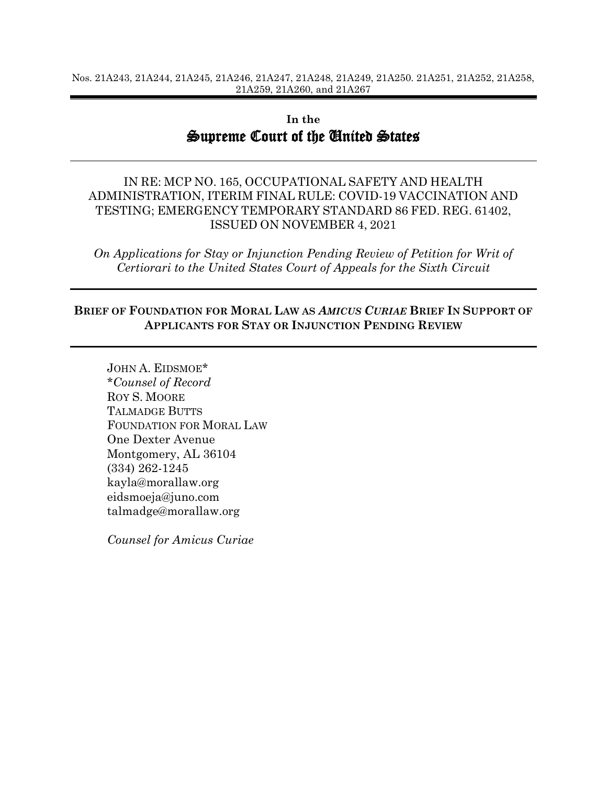#### Nos. 21A243, 21A244, 21A245, 21A246, 21A247, 21A248, 21A249, 21A250. 21A251, 21A252, 21A258, 21A259, 21A260, and 21A267

### **In the** Supreme Court of the United States

### IN RE: MCP NO. 165, OCCUPATIONAL SAFETY AND HEALTH ADMINISTRATION, ITERIM FINAL RULE: COVID-19 VACCINATION AND TESTING; EMERGENCY TEMPORARY STANDARD 86 FED. REG. 61402, ISSUED ON NOVEMBER 4, 2021

*On Applications for Stay or Injunction Pending Review of Petition for Writ of Certiorari to the United States Court of Appeals for the Sixth Circuit*

### **BRIEF OF FOUNDATION FOR MORAL LAW AS** *AMICUS CURIAE* **BRIEF IN SUPPORT OF APPLICANTS FOR STAY OR INJUNCTION PENDING REVIEW**

JOHN A. EIDSMOE\* \**Counsel of Record* ROY S. MOORE TALMADGE BUTTS FOUNDATION FOR MORAL LAW One Dexter Avenue Montgomery, AL 36104 (334) 262-1245 kayla@morallaw.org eidsmoeja@juno.com talmadge@morallaw.org

*Counsel for Amicus Curiae*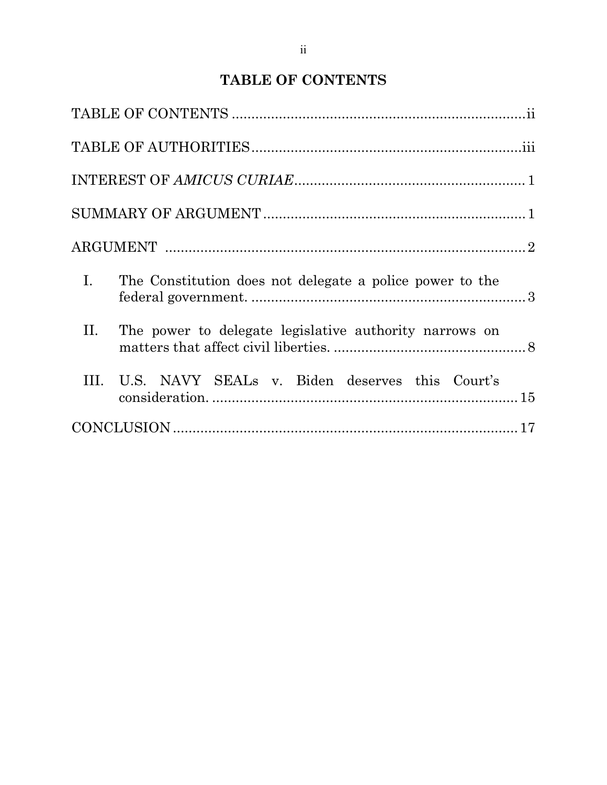## **TABLE OF CONTENTS**

| $\mathbf{I}$ . | The Constitution does not delegate a police power to the |  |
|----------------|----------------------------------------------------------|--|
| П.             | The power to delegate legislative authority narrows on   |  |
|                | III. U.S. NAVY SEALs v. Biden deserves this Court's      |  |
|                |                                                          |  |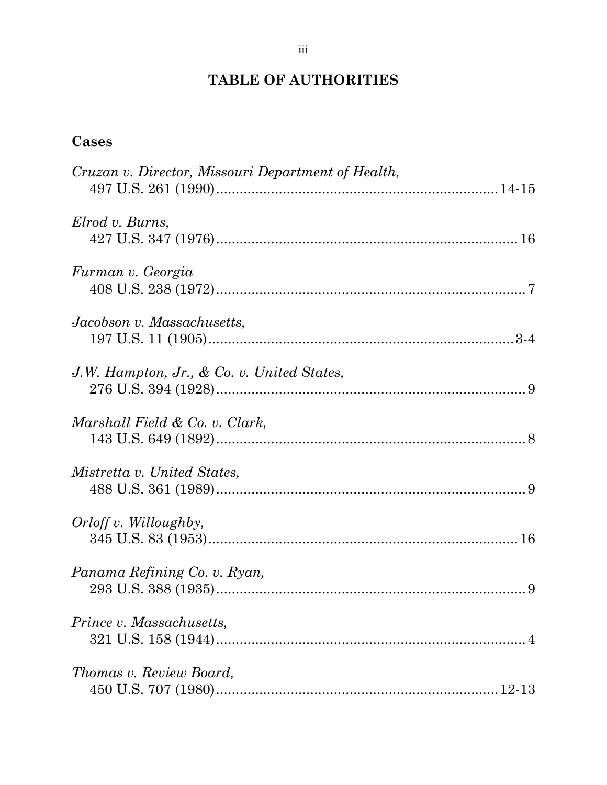## **TABLE OF AUTHORITIES**

### **Cases**

| Cruzan v. Director, Missouri Department of Health, |  |
|----------------------------------------------------|--|
| Elrod v. Burns,                                    |  |
| Furman v. Georgia                                  |  |
| Jacobson v. Massachusetts,                         |  |
| J.W. Hampton, Jr., & Co. v. United States,         |  |
| Marshall Field & Co. v. Clark,                     |  |
| Mistretta v. United States,                        |  |
| Orloff v. Willoughby,                              |  |
| Panama Refining Co. v. Ryan,                       |  |
| <i>Prince v. Massachusetts,</i>                    |  |
| <i>Thomas v. Review Board,</i>                     |  |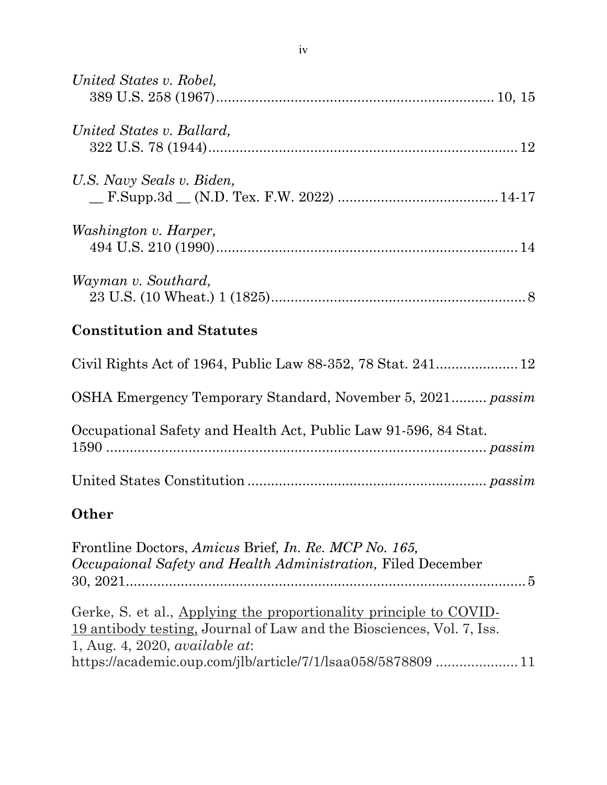| United States v. Robel,                                         |
|-----------------------------------------------------------------|
| United States v. Ballard,                                       |
| U.S. Navy Seals v. Biden,                                       |
| <i>Washington v. Harper,</i>                                    |
| Wayman v. Southard,                                             |
| <b>Constitution and Statutes</b>                                |
|                                                                 |
| OSHA Emergency Temporary Standard, November 5, 2021 passim      |
| Occupational Safety and Health Act, Public Law 91-596, 84 Stat. |
|                                                                 |
| <b>Other</b>                                                    |

| Frontline Doctors, Amicus Brief, In. Re. MCP No. 165,                 |  |
|-----------------------------------------------------------------------|--|
| Occupaional Safety and Health Administration, Filed December          |  |
|                                                                       |  |
| Gerke, S. et al., Applying the proportionality principle to COVID-    |  |
| 19 antibody testing, Journal of Law and the Biosciences, Vol. 7, Iss. |  |
| 1, Aug. 4, 2020, $available$ $at:$                                    |  |
| https://academic.oup.com/jlb/article/7/1/lsaa058/5878809  11          |  |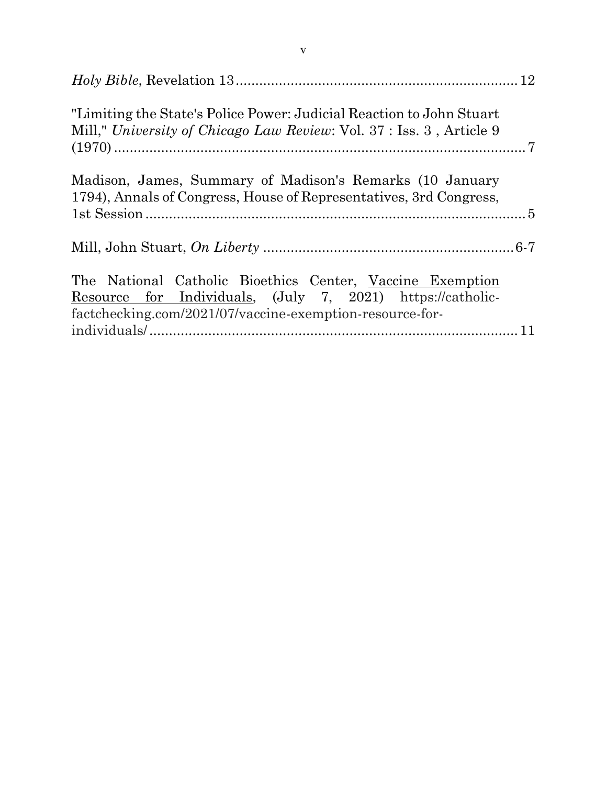| "Limiting the State's Police Power: Judicial Reaction to John Stuart<br>Mill," University of Chicago Law Review: Vol. 37 : Iss. 3, Article 9                                        |  |
|-------------------------------------------------------------------------------------------------------------------------------------------------------------------------------------|--|
| Madison, James, Summary of Madison's Remarks (10 January<br>1794), Annals of Congress, House of Representatives, 3rd Congress,                                                      |  |
|                                                                                                                                                                                     |  |
| The National Catholic Bioethics Center, Vaccine Exemption<br>Resource for Individuals, (July 7, 2021) https://catholic-<br>factchecking.com/2021/07/vaccine-exemption-resource-for- |  |
|                                                                                                                                                                                     |  |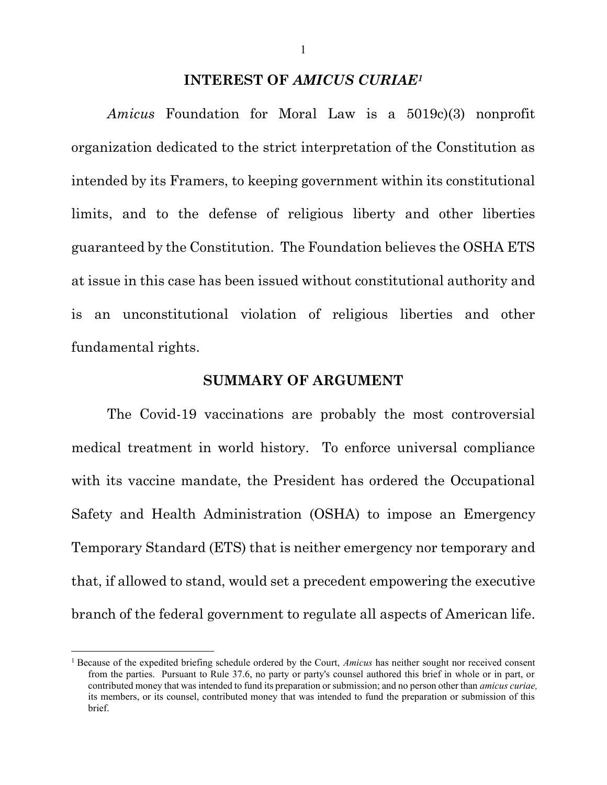### **INTEREST OF** *AMICUS CURIAE<sup>1</sup>*

*Amicus* Foundation for Moral Law is a 5019c)(3) nonprofit organization dedicated to the strict interpretation of the Constitution as intended by its Framers, to keeping government within its constitutional limits, and to the defense of religious liberty and other liberties guaranteed by the Constitution. The Foundation believes the OSHA ETS at issue in this case has been issued without constitutional authority and is an unconstitutional violation of religious liberties and other fundamental rights.

### **SUMMARY OF ARGUMENT**

The Covid-19 vaccinations are probably the most controversial medical treatment in world history. To enforce universal compliance with its vaccine mandate, the President has ordered the Occupational Safety and Health Administration (OSHA) to impose an Emergency Temporary Standard (ETS) that is neither emergency nor temporary and that, if allowed to stand, would set a precedent empowering the executive branch of the federal government to regulate all aspects of American life.

<sup>1</sup> Because of the expedited briefing schedule ordered by the Court, *Amicus* has neither sought nor received consent from the parties. Pursuant to Rule 37.6, no party or party's counsel authored this brief in whole or in part, or contributed money that was intended to fund its preparation or submission; and no person other than *amicus curiae,*  its members, or its counsel, contributed money that was intended to fund the preparation or submission of this brief.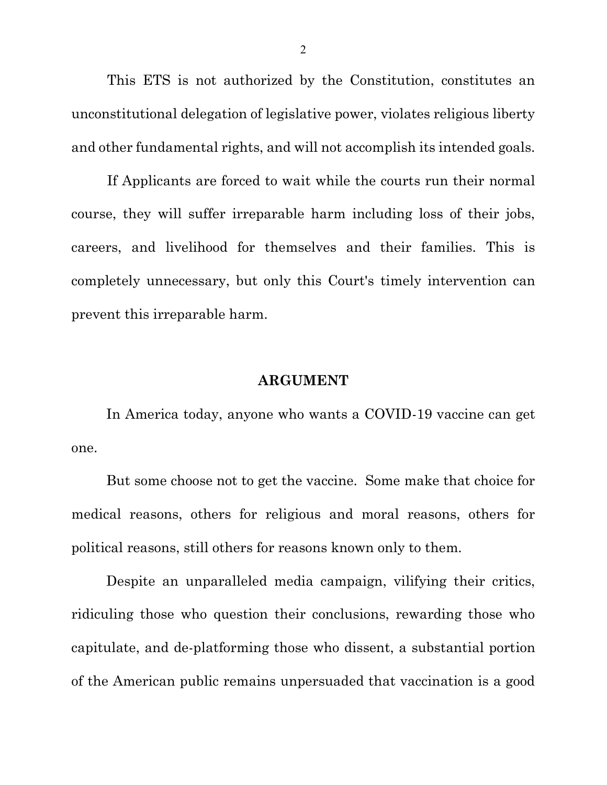This ETS is not authorized by the Constitution, constitutes an unconstitutional delegation of legislative power, violates religious liberty and other fundamental rights, and will not accomplish its intended goals.

If Applicants are forced to wait while the courts run their normal course, they will suffer irreparable harm including loss of their jobs, careers, and livelihood for themselves and their families. This is completely unnecessary, but only this Court's timely intervention can prevent this irreparable harm.

### **ARGUMENT**

In America today, anyone who wants a COVID-19 vaccine can get one.

But some choose not to get the vaccine. Some make that choice for medical reasons, others for religious and moral reasons, others for political reasons, still others for reasons known only to them.

Despite an unparalleled media campaign, vilifying their critics, ridiculing those who question their conclusions, rewarding those who capitulate, and de-platforming those who dissent, a substantial portion of the American public remains unpersuaded that vaccination is a good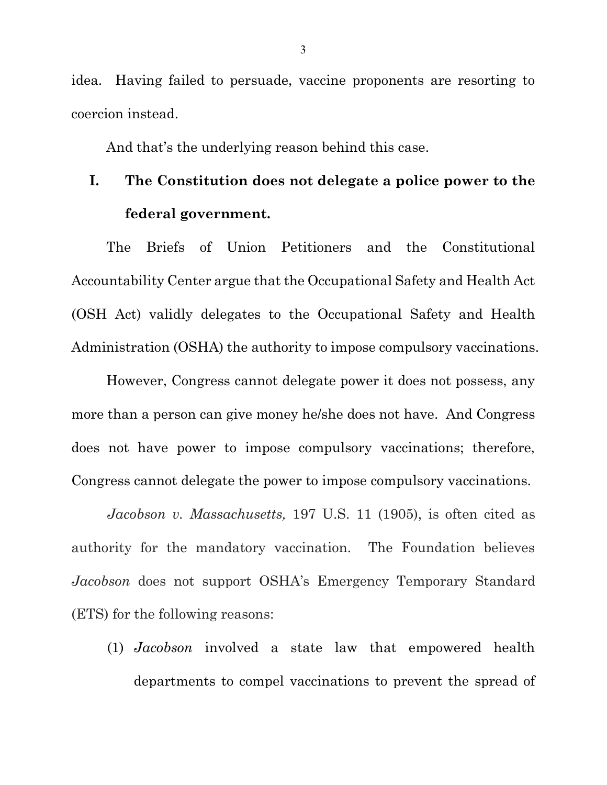idea. Having failed to persuade, vaccine proponents are resorting to coercion instead.

And that's the underlying reason behind this case.

# **I. The Constitution does not delegate a police power to the federal government.**

The Briefs of Union Petitioners and the Constitutional Accountability Center argue that the Occupational Safety and Health Act (OSH Act) validly delegates to the Occupational Safety and Health Administration (OSHA) the authority to impose compulsory vaccinations.

However, Congress cannot delegate power it does not possess, any more than a person can give money he/she does not have. And Congress does not have power to impose compulsory vaccinations; therefore, Congress cannot delegate the power to impose compulsory vaccinations.

*Jacobson v. Massachusetts,* 197 U.S. 11 (1905), is often cited as authority for the mandatory vaccination. The Foundation believes *Jacobson* does not support OSHA's Emergency Temporary Standard (ETS) for the following reasons:

(1) *Jacobson* involved a state law that empowered health departments to compel vaccinations to prevent the spread of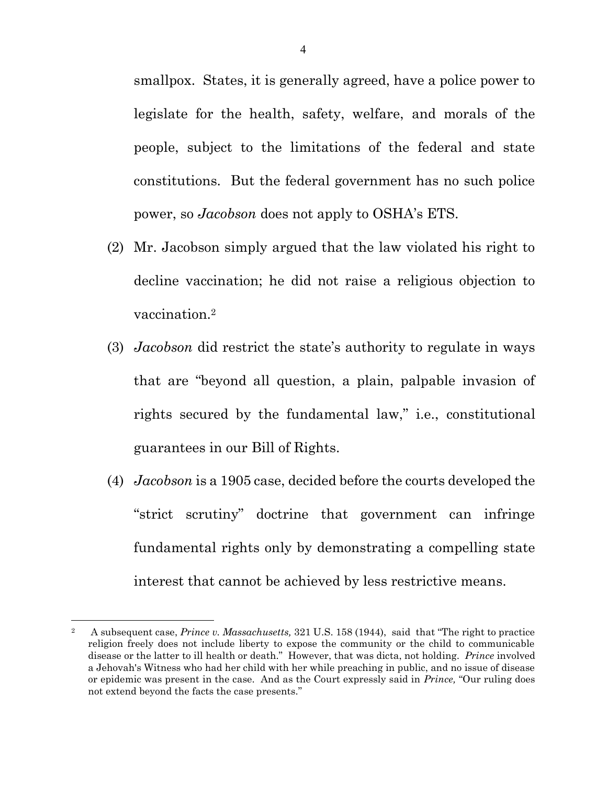smallpox. States, it is generally agreed, have a police power to legislate for the health, safety, welfare, and morals of the people, subject to the limitations of the federal and state constitutions. But the federal government has no such police power, so *Jacobson* does not apply to OSHA's ETS.

- (2) Mr. Jacobson simply argued that the law violated his right to decline vaccination; he did not raise a religious objection to vaccination.<sup>2</sup>
- (3) *Jacobson* did restrict the state's authority to regulate in ways that are "beyond all question, a plain, palpable invasion of rights secured by the fundamental law," i.e., constitutional guarantees in our Bill of Rights.
- (4) *Jacobson* is a 1905 case, decided before the courts developed the "strict scrutiny" doctrine that government can infringe fundamental rights only by demonstrating a compelling state interest that cannot be achieved by less restrictive means.

<sup>2</sup> A subsequent case, *Prince v. Massachusetts,* 321 U.S. 158 (1944), said that "The right to practice religion freely does not include liberty to expose the community or the child to communicable disease or the latter to ill health or death." However, that was dicta, not holding. *Prince* involved a Jehovah's Witness who had her child with her while preaching in public, and no issue of disease or epidemic was present in the case. And as the Court expressly said in *Prince,* "Our ruling does not extend beyond the facts the case presents."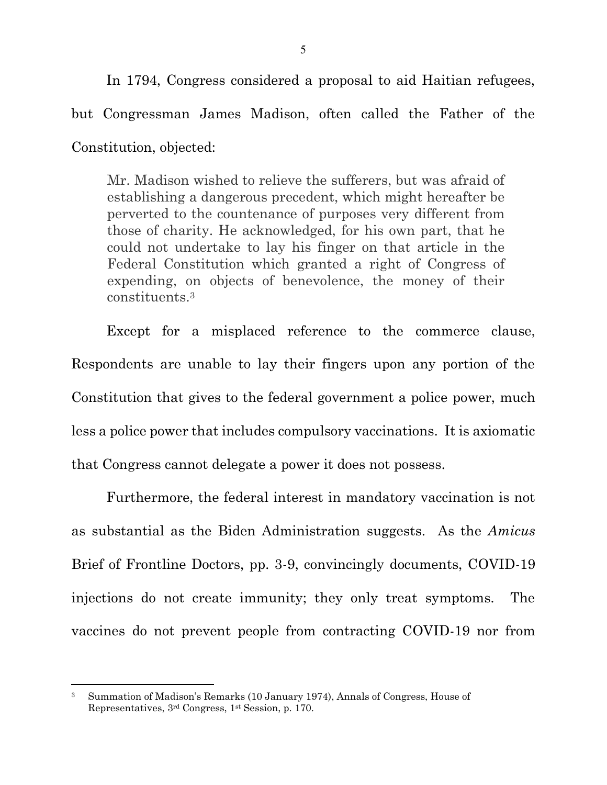In 1794, Congress considered a proposal to aid Haitian refugees,

but Congressman James Madison, often called the Father of the

Constitution, objected:

Mr. Madison wished to relieve the sufferers, but was afraid of establishing a dangerous precedent, which might hereafter be perverted to the countenance of purposes very different from those of charity. He acknowledged, for his own part, that he could not undertake to lay his finger on that article in the Federal Constitution which granted a right of Congress of expending, on objects of benevolence, the money of their constituents.<sup>3</sup>

Except for a misplaced reference to the commerce clause, Respondents are unable to lay their fingers upon any portion of the Constitution that gives to the federal government a police power, much less a police power that includes compulsory vaccinations. It is axiomatic that Congress cannot delegate a power it does not possess.

Furthermore, the federal interest in mandatory vaccination is not as substantial as the Biden Administration suggests. As the *Amicus*  Brief of Frontline Doctors, pp. 3-9, convincingly documents, COVID-19 injections do not create immunity; they only treat symptoms. The vaccines do not prevent people from contracting COVID-19 nor from

<sup>3</sup> Summation of Madison's Remarks (10 January 1974), Annals of Congress, House of Representatives, 3rd Congress, 1st Session, p. 170.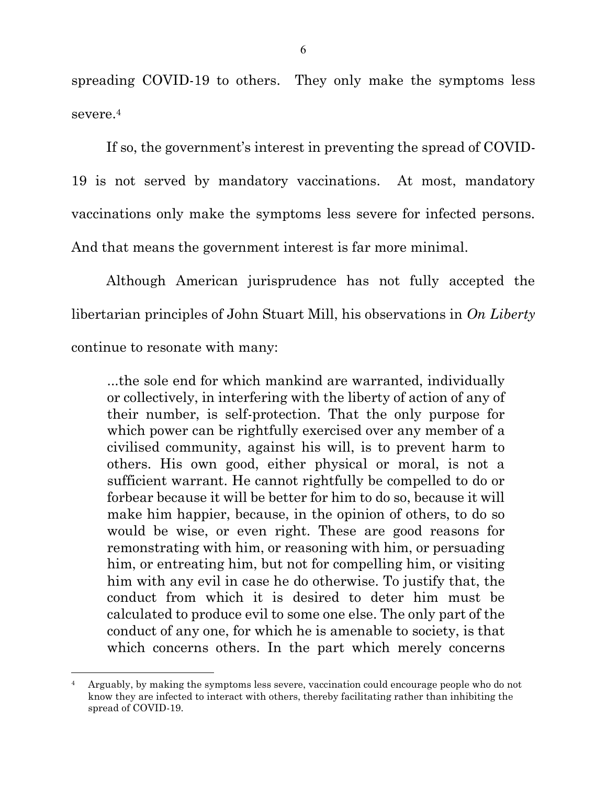spreading COVID-19 to others. They only make the symptoms less severe.<sup>4</sup>

If so, the government's interest in preventing the spread of COVID-19 is not served by mandatory vaccinations. At most, mandatory vaccinations only make the symptoms less severe for infected persons. And that means the government interest is far more minimal.

Although American jurisprudence has not fully accepted the libertarian principles of John Stuart Mill, his observations in *On Liberty*  continue to resonate with many:

...the sole end for which mankind are warranted, individually or collectively, in interfering with the liberty of action of any of their number, is self-protection. That the only purpose for which power can be rightfully exercised over any member of a civilised community, against his will, is to prevent harm to others. His own good, either physical or moral, is not a sufficient warrant. He cannot rightfully be compelled to do or forbear because it will be better for him to do so, because it will make him happier, because, in the opinion of others, to do so would be wise, or even right. These are good reasons for remonstrating with him, or reasoning with him, or persuading him, or entreating him, but not for compelling him, or visiting him with any evil in case he do otherwise. To justify that, the conduct from which it is desired to deter him must be calculated to produce evil to some one else. The only part of the conduct of any one, for which he is amenable to society, is that which concerns others. In the part which merely concerns

6

<sup>4</sup> Arguably, by making the symptoms less severe, vaccination could encourage people who do not know they are infected to interact with others, thereby facilitating rather than inhibiting the spread of COVID-19.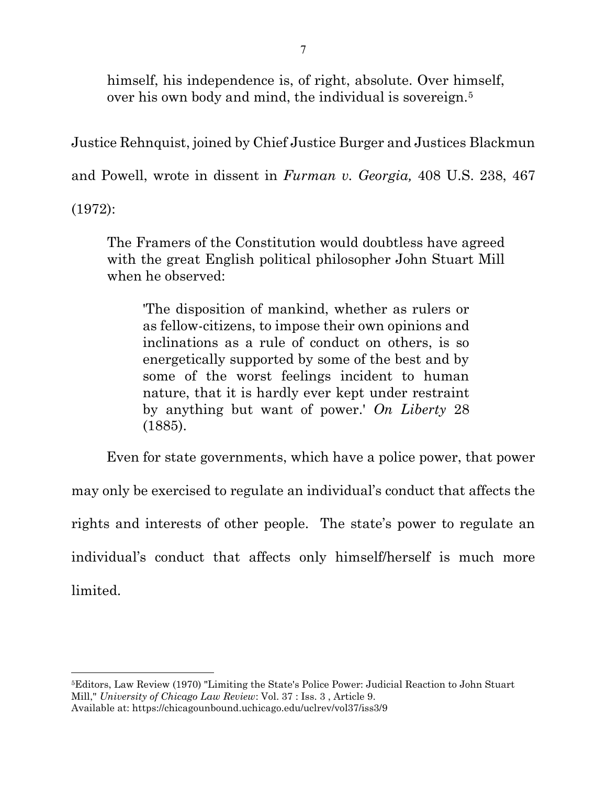himself, his independence is, of right, absolute. Over himself, over his own body and mind, the individual is sovereign.<sup>5</sup>

Justice Rehnquist, joined by Chief Justice Burger and Justices Blackmun

and Powell, wrote in dissent in *Furman v. Georgia,* 408 U.S. 238, 467

(1972):

The Framers of the Constitution would doubtless have agreed with the great English political philosopher John Stuart Mill when he observed:

'The disposition of mankind, whether as rulers or as fellow-citizens, to impose their own opinions and inclinations as a rule of conduct on others, is so energetically supported by some of the best and by some of the worst feelings incident to human nature, that it is hardly ever kept under restraint by anything but want of power.' *On Liberty* 28 (1885).

Even for state governments, which have a police power, that power

may only be exercised to regulate an individual's conduct that affects the

rights and interests of other people. The state's power to regulate an

individual's conduct that affects only himself/herself is much more limited.

<sup>5</sup>Editors, Law Review (1970) "Limiting the State's Police Power: Judicial Reaction to John Stuart Mill," *University of Chicago Law Review*: Vol. 37 : Iss. 3 , Article 9. Available at: https://chicagounbound.uchicago.edu/uclrev/vol37/iss3/9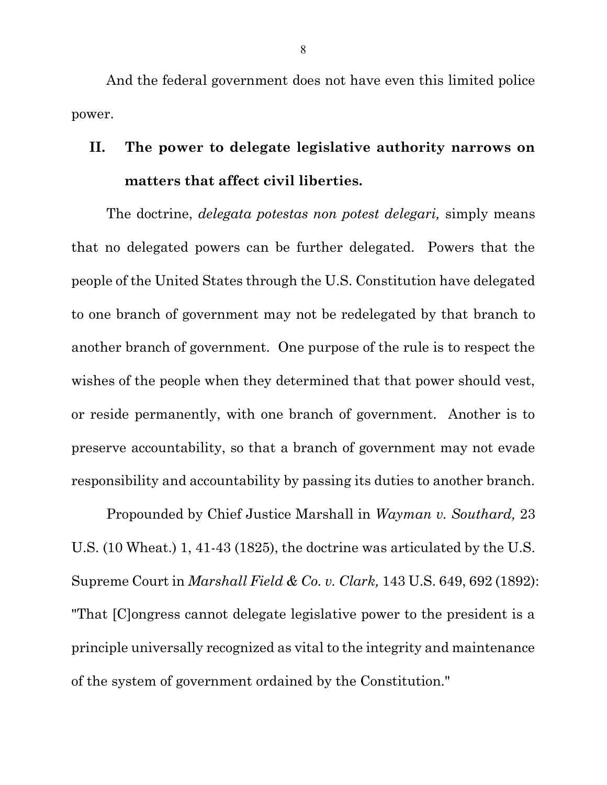And the federal government does not have even this limited police power.

## **II. The power to delegate legislative authority narrows on matters that affect civil liberties.**

The doctrine, *delegata potestas non potest delegari,* simply means that no delegated powers can be further delegated. Powers that the people of the United States through the U.S. Constitution have delegated to one branch of government may not be redelegated by that branch to another branch of government. One purpose of the rule is to respect the wishes of the people when they determined that that power should vest, or reside permanently, with one branch of government. Another is to preserve accountability, so that a branch of government may not evade responsibility and accountability by passing its duties to another branch.

Propounded by Chief Justice Marshall in *Wayman v. Southard,* 23 U.S. (10 Wheat.) 1, 41-43 (1825), the doctrine was articulated by the U.S. Supreme Court in *Marshall Field & Co. v. Clark,* 143 U.S. 649, 692 (1892): "That [C]ongress cannot delegate legislative power to the president is a principle universally recognized as vital to the integrity and maintenance of the system of government ordained by the Constitution."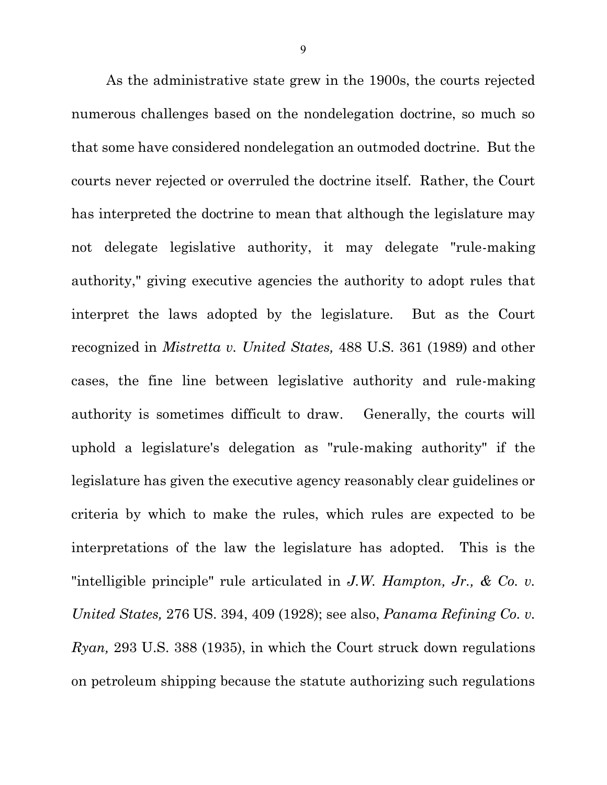As the administrative state grew in the 1900s, the courts rejected numerous challenges based on the nondelegation doctrine, so much so that some have considered nondelegation an outmoded doctrine. But the courts never rejected or overruled the doctrine itself. Rather, the Court has interpreted the doctrine to mean that although the legislature may not delegate legislative authority, it may delegate "rule-making authority," giving executive agencies the authority to adopt rules that interpret the laws adopted by the legislature. But as the Court recognized in *Mistretta v. United States,* 488 U.S. 361 (1989) and other cases, the fine line between legislative authority and rule-making authority is sometimes difficult to draw. Generally, the courts will uphold a legislature's delegation as "rule-making authority" if the legislature has given the executive agency reasonably clear guidelines or criteria by which to make the rules, which rules are expected to be interpretations of the law the legislature has adopted. This is the "intelligible principle" rule articulated in *J.W. Hampton, Jr., & Co. v. United States,* 276 US. 394, 409 (1928); see also, *Panama Refining Co. v. Ryan,* 293 U.S. 388 (1935), in which the Court struck down regulations on petroleum shipping because the statute authorizing such regulations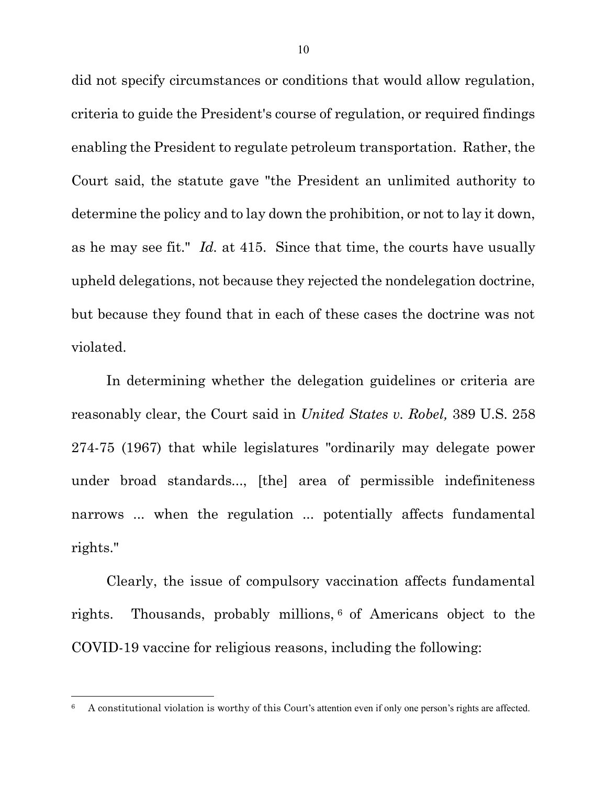did not specify circumstances or conditions that would allow regulation, criteria to guide the President's course of regulation, or required findings enabling the President to regulate petroleum transportation. Rather, the Court said, the statute gave "the President an unlimited authority to determine the policy and to lay down the prohibition, or not to lay it down, as he may see fit." *Id.* at 415. Since that time, the courts have usually upheld delegations, not because they rejected the nondelegation doctrine, but because they found that in each of these cases the doctrine was not violated.

In determining whether the delegation guidelines or criteria are reasonably clear, the Court said in *United States v. Robel,* 389 U.S. 258 274-75 (1967) that while legislatures "ordinarily may delegate power under broad standards..., [the] area of permissible indefiniteness narrows ... when the regulation ... potentially affects fundamental rights."

Clearly, the issue of compulsory vaccination affects fundamental rights. Thousands, probably millions, <sup>6</sup> of Americans object to the COVID-19 vaccine for religious reasons, including the following:

<sup>6</sup> A constitutional violation is worthy of this Court's attention even if only one person's rights are affected.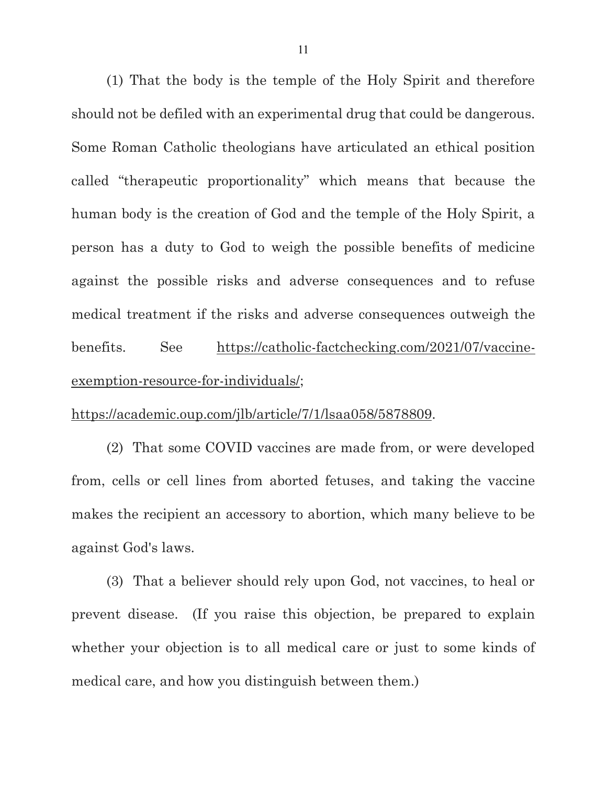(1) That the body is the temple of the Holy Spirit and therefore should not be defiled with an experimental drug that could be dangerous. Some Roman Catholic theologians have articulated an ethical position called "therapeutic proportionality" which means that because the human body is the creation of God and the temple of the Holy Spirit, a person has a duty to God to weigh the possible benefits of medicine against the possible risks and adverse consequences and to refuse medical treatment if the risks and adverse consequences outweigh the benefits. See https://catholic-factchecking.com/2021/07/vaccineexemption-resource-for-individuals/;

#### https://academic.oup.com/jlb/article/7/1/lsaa058/5878809.

(2) That some COVID vaccines are made from, or were developed from, cells or cell lines from aborted fetuses, and taking the vaccine makes the recipient an accessory to abortion, which many believe to be against God's laws.

(3) That a believer should rely upon God, not vaccines, to heal or prevent disease. (If you raise this objection, be prepared to explain whether your objection is to all medical care or just to some kinds of medical care, and how you distinguish between them.)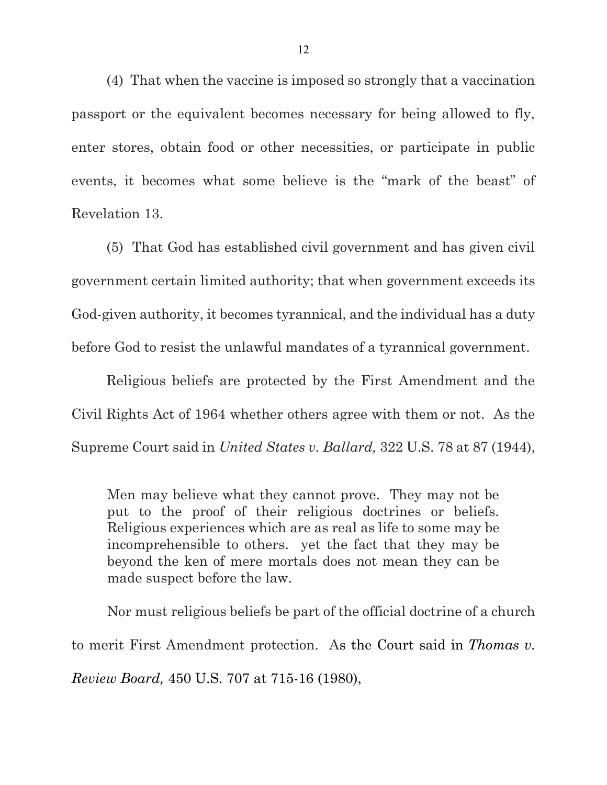(4) That when the vaccine is imposed so strongly that a vaccination passport or the equivalent becomes necessary for being allowed to fly, enter stores, obtain food or other necessities, or participate in public events, it becomes what some believe is the "mark of the beast" of Revelation 13.

(5) That God has established civil government and has given civil government certain limited authority; that when government exceeds its God-given authority, it becomes tyrannical, and the individual has a duty before God to resist the unlawful mandates of a tyrannical government.

Religious beliefs are protected by the First Amendment and the Civil Rights Act of 1964 whether others agree with them or not. As the Supreme Court said in *United States v. Ballard,* 322 U.S. 78 at 87 (1944),

Men may believe what they cannot prove. They may not be put to the proof of their religious doctrines or beliefs. Religious experiences which are as real as life to some may be incomprehensible to others. yet the fact that they may be beyond the ken of mere mortals does not mean they can be made suspect before the law.

Nor must religious beliefs be part of the official doctrine of a church to merit First Amendment protection. As the Court said in *Thomas v. Review Board,* 450 U.S. 707 at 715-16 (1980),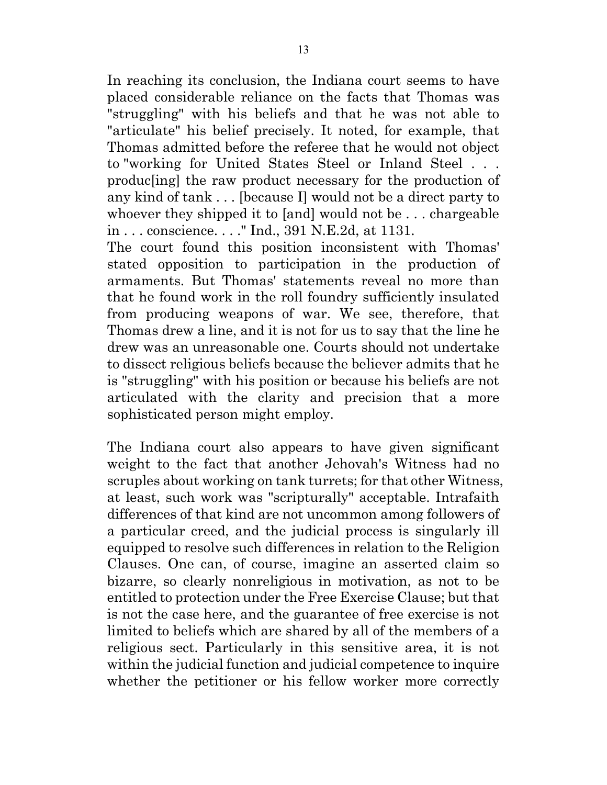In reaching its conclusion, the Indiana court seems to have placed considerable reliance on the facts that Thomas was "struggling" with his beliefs and that he was not able to "articulate" his belief precisely. It noted, for example, that Thomas admitted before the referee that he would not object to "working for United States Steel or Inland Steel . . . produc[ing] the raw product necessary for the production of any kind of tank . . . [because I] would not be a direct party to whoever they shipped it to [and] would not be . . . chargeable in . . . conscience. . . ." Ind., 391 N.E.2d, at 1131.

The court found this position inconsistent with Thomas' stated opposition to participation in the production of armaments. But Thomas' statements reveal no more than that he found work in the roll foundry sufficiently insulated from producing weapons of war. We see, therefore, that Thomas drew a line, and it is not for us to say that the line he drew was an unreasonable one. Courts should not undertake to dissect religious beliefs because the believer admits that he is "struggling" with his position or because his beliefs are not articulated with the clarity and precision that a more sophisticated person might employ.

The Indiana court also appears to have given significant weight to the fact that another Jehovah's Witness had no scruples about working on tank turrets; for that other Witness, at least, such work was "scripturally" acceptable. Intrafaith differences of that kind are not uncommon among followers of a particular creed, and the judicial process is singularly ill equipped to resolve such differences in relation to the Religion Clauses. One can, of course, imagine an asserted claim so bizarre, so clearly nonreligious in motivation, as not to be entitled to protection under the Free Exercise Clause; but that is not the case here, and the guarantee of free exercise is not limited to beliefs which are shared by all of the members of a religious sect. Particularly in this sensitive area, it is not within the judicial function and judicial competence to inquire whether the petitioner or his fellow worker more correctly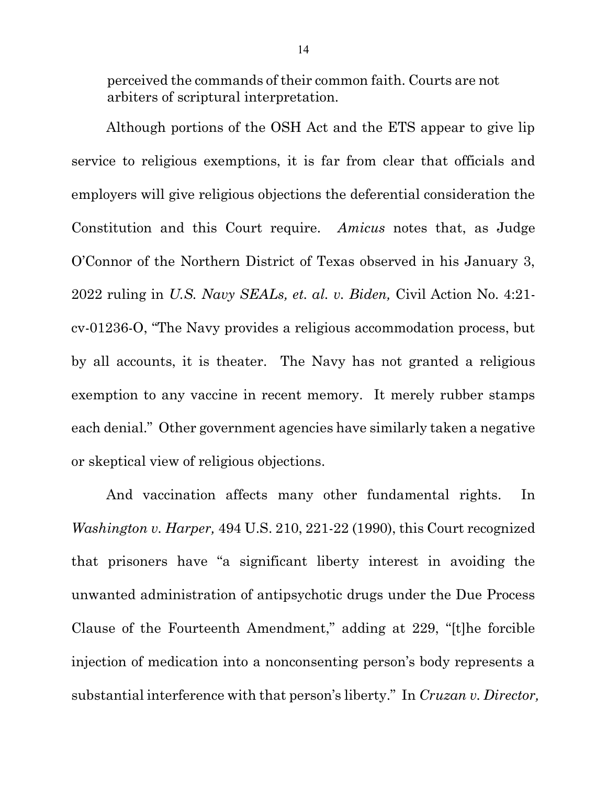perceived the commands of their common faith. Courts are not arbiters of scriptural interpretation.

Although portions of the OSH Act and the ETS appear to give lip service to religious exemptions, it is far from clear that officials and employers will give religious objections the deferential consideration the Constitution and this Court require. *Amicus* notes that, as Judge O'Connor of the Northern District of Texas observed in his January 3, 2022 ruling in *U.S. Navy SEALs, et. al. v. Biden,* Civil Action No. 4:21 cv-01236-O, "The Navy provides a religious accommodation process, but by all accounts, it is theater. The Navy has not granted a religious exemption to any vaccine in recent memory. It merely rubber stamps each denial." Other government agencies have similarly taken a negative or skeptical view of religious objections.

And vaccination affects many other fundamental rights. In *Washington v. Harper,* 494 U.S. 210, 221-22 (1990), this Court recognized that prisoners have "a significant liberty interest in avoiding the unwanted administration of antipsychotic drugs under the Due Process Clause of the Fourteenth Amendment," adding at 229, "[t]he forcible injection of medication into a nonconsenting person's body represents a substantial interference with that person's liberty." In *Cruzan v. Director,*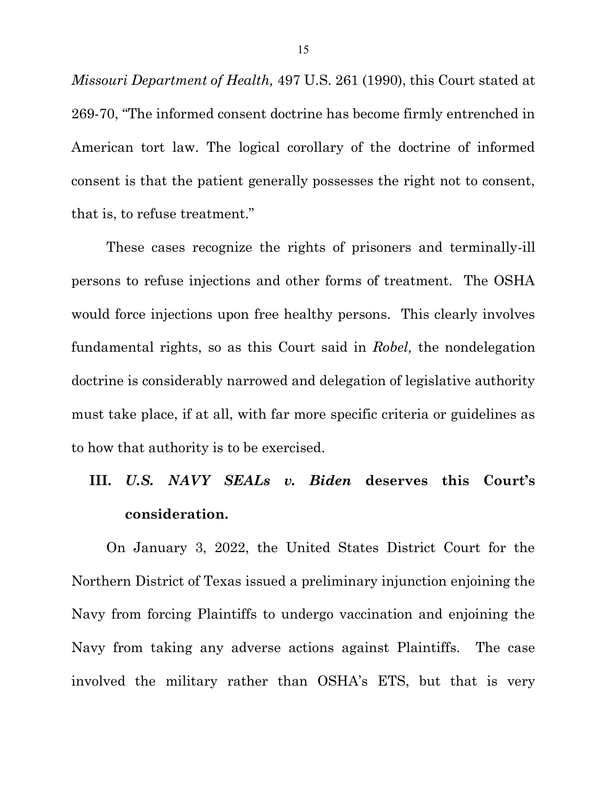*Missouri Department of Health,* 497 U.S. 261 (1990), this Court stated at 269-70, "The informed consent doctrine has become firmly entrenched in American tort law. The logical corollary of the doctrine of informed consent is that the patient generally possesses the right not to consent, that is, to refuse treatment."

These cases recognize the rights of prisoners and terminally-ill persons to refuse injections and other forms of treatment. The OSHA would force injections upon free healthy persons. This clearly involves fundamental rights, so as this Court said in *Robel,* the nondelegation doctrine is considerably narrowed and delegation of legislative authority must take place, if at all, with far more specific criteria or guidelines as to how that authority is to be exercised.

# **III.** *U.S. NAVY SEALs v. Biden* **deserves this Court's consideration.**

On January 3, 2022, the United States District Court for the Northern District of Texas issued a preliminary injunction enjoining the Navy from forcing Plaintiffs to undergo vaccination and enjoining the Navy from taking any adverse actions against Plaintiffs. The case involved the military rather than OSHA's ETS, but that is very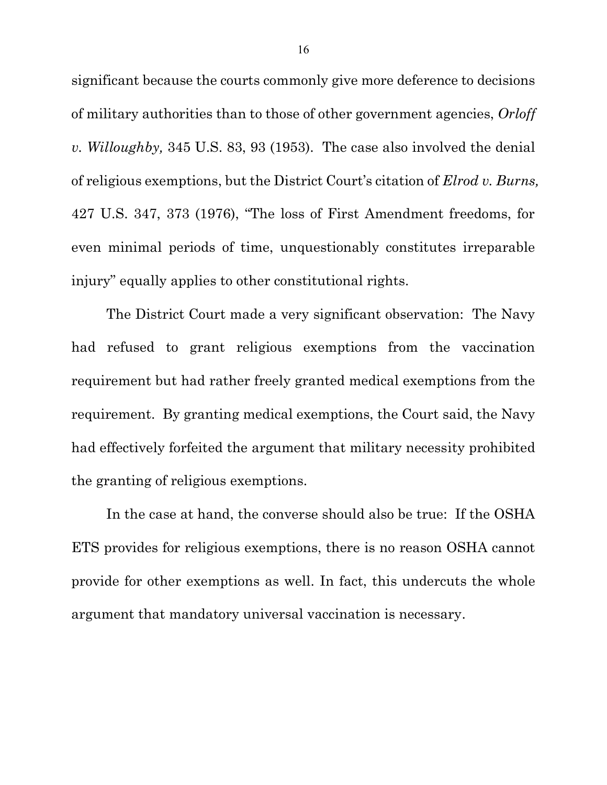significant because the courts commonly give more deference to decisions of military authorities than to those of other government agencies, *Orloff v. Willoughby,* 345 U.S. 83, 93 (1953). The case also involved the denial of religious exemptions, but the District Court's citation of *Elrod v. Burns,*  427 U.S. 347, 373 (1976), "The loss of First Amendment freedoms, for even minimal periods of time, unquestionably constitutes irreparable injury" equally applies to other constitutional rights.

The District Court made a very significant observation: The Navy had refused to grant religious exemptions from the vaccination requirement but had rather freely granted medical exemptions from the requirement. By granting medical exemptions, the Court said, the Navy had effectively forfeited the argument that military necessity prohibited the granting of religious exemptions.

In the case at hand, the converse should also be true: If the OSHA ETS provides for religious exemptions, there is no reason OSHA cannot provide for other exemptions as well. In fact, this undercuts the whole argument that mandatory universal vaccination is necessary.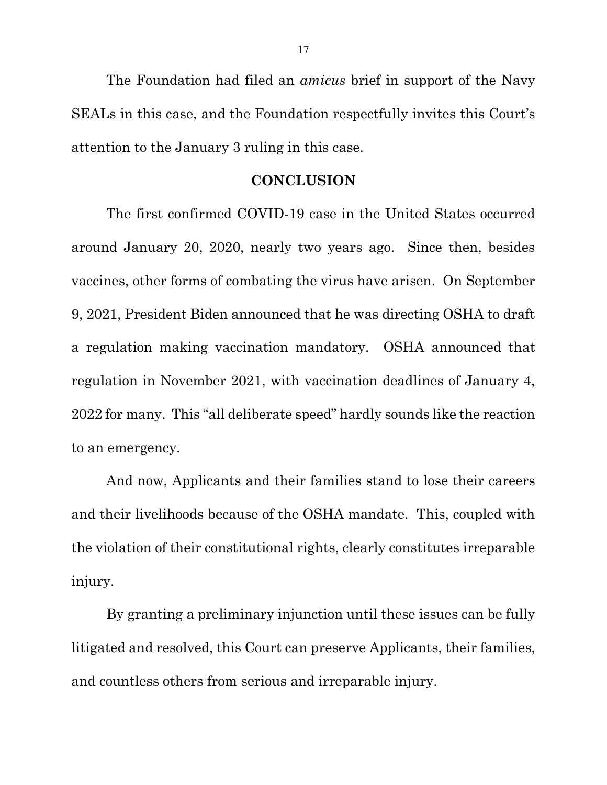The Foundation had filed an *amicus* brief in support of the Navy SEALs in this case, and the Foundation respectfully invites this Court's attention to the January 3 ruling in this case.

### **CONCLUSION**

The first confirmed COVID-19 case in the United States occurred around January 20, 2020, nearly two years ago. Since then, besides vaccines, other forms of combating the virus have arisen. On September 9, 2021, President Biden announced that he was directing OSHA to draft a regulation making vaccination mandatory. OSHA announced that regulation in November 2021, with vaccination deadlines of January 4, 2022 for many. This "all deliberate speed" hardly sounds like the reaction to an emergency.

And now, Applicants and their families stand to lose their careers and their livelihoods because of the OSHA mandate. This, coupled with the violation of their constitutional rights, clearly constitutes irreparable injury.

By granting a preliminary injunction until these issues can be fully litigated and resolved, this Court can preserve Applicants, their families, and countless others from serious and irreparable injury.